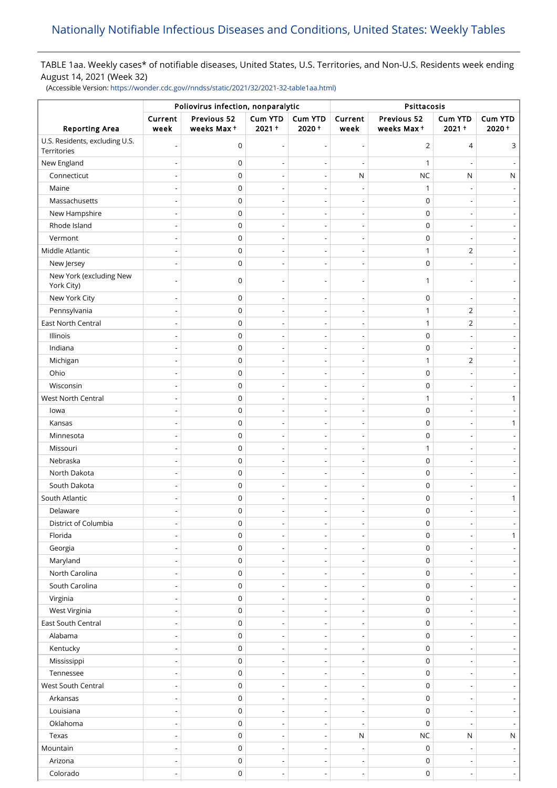## TABLE 1aa. Weekly cases\* of notifiable diseases, United States, U.S. Territories, and Non-U.S. Residents week ending August 14, 2021 (Week 32)

(Accessible Version: [https://wonder.cdc.gov//nndss/static/2021/32/2021-32-table1aa.html\)](https://wonder.cdc.gov//nndss/static/2021/32/2021-32-table1aa.html)

|                                               | Poliovirus infection, nonparalytic |                           |                          |                          | Psittacosis                  |                           |                            |                          |
|-----------------------------------------------|------------------------------------|---------------------------|--------------------------|--------------------------|------------------------------|---------------------------|----------------------------|--------------------------|
| <b>Reporting Area</b>                         | Current<br>week                    | Previous 52<br>weeks Max+ | Cum YTD<br>$2021 +$      | Cum YTD<br>$2020 +$      | Current<br>week              | Previous 52<br>weeks Max+ | <b>Cum YTD</b><br>$2021 +$ | Cum YTD<br>$2020 +$      |
| U.S. Residents, excluding U.S.<br>Territories |                                    | $\mathsf 0$               |                          | $\overline{a}$           | ÷,                           | $\overline{2}$            | $\overline{4}$             | 3                        |
| New England                                   |                                    | 0                         |                          | $\overline{\phantom{a}}$ | $\overline{\phantom{a}}$     | $\mathbf{1}$              |                            |                          |
| Connecticut                                   |                                    | $\mathsf 0$               |                          | $\overline{a}$           | N                            | <b>NC</b>                 | N                          | ${\sf N}$                |
| Maine                                         |                                    | $\mathsf 0$               |                          | $\overline{\phantom{a}}$ |                              | $\mathbf{1}$              |                            |                          |
| Massachusetts                                 |                                    | $\mathsf 0$               | $\overline{\phantom{a}}$ | $\overline{\phantom{a}}$ | $\overline{a}$               | $\mathbf 0$               |                            |                          |
| New Hampshire                                 |                                    | $\mathsf 0$               |                          | $\overline{a}$           |                              | $\mathbf 0$               |                            |                          |
| Rhode Island                                  |                                    | $\mathsf 0$               | $\overline{\phantom{a}}$ | $\overline{\phantom{a}}$ | $\overline{\phantom{a}}$     | $\mathbf 0$               |                            |                          |
| Vermont                                       |                                    | $\mathsf 0$               |                          | ÷,                       | ÷                            | $\mathbf 0$               |                            |                          |
| Middle Atlantic                               |                                    | 0                         | $\overline{\phantom{a}}$ | $\overline{\phantom{a}}$ | $\overline{\phantom{a}}$     | $\mathbf{1}$              | $\overline{2}$             |                          |
| New Jersey                                    |                                    | 0                         |                          |                          |                              | 0                         |                            |                          |
| New York (excluding New<br>York City)         |                                    | 0                         |                          |                          | $\overline{\phantom{a}}$     | $\mathbf{1}$              |                            |                          |
| New York City                                 |                                    | 0                         | $\overline{\phantom{a}}$ | $\overline{\phantom{a}}$ | $\overline{\phantom{a}}$     | $\mathbf 0$               |                            |                          |
| Pennsylvania                                  |                                    | $\mathsf 0$               | $\overline{\phantom{a}}$ | $\overline{a}$           | $\overline{a}$               | $\mathbf{1}$              | $\overline{2}$             |                          |
| East North Central                            |                                    | 0                         | $\overline{\phantom{a}}$ | $\overline{\phantom{a}}$ | $\overline{a}$               | $\mathbf{1}$              | $\overline{2}$             |                          |
| Illinois                                      |                                    | 0                         | $\overline{\phantom{a}}$ | $\overline{a}$           | $\overline{\phantom{0}}$     | $\mathsf 0$               |                            |                          |
| Indiana                                       |                                    | $\mathsf 0$               |                          | $\overline{a}$           |                              | $\mathbf 0$               |                            |                          |
| Michigan                                      |                                    | $\mathsf 0$               | $\overline{\phantom{a}}$ | $\overline{\phantom{a}}$ | $\overline{\phantom{a}}$     | $\mathbf{1}$              | $\overline{2}$             |                          |
| Ohio                                          |                                    | $\mathsf 0$               |                          | ÷,                       | ÷                            | $\mathbf 0$               |                            |                          |
| Wisconsin                                     |                                    | 0                         | $\overline{\phantom{a}}$ | $\overline{\phantom{a}}$ | $\overline{\phantom{a}}$     | $\mathbf 0$               |                            |                          |
| West North Central                            |                                    | 0                         |                          |                          |                              | $\mathbf{1}$              |                            | 1                        |
| lowa                                          |                                    | $\mathbf 0$               | $\overline{\phantom{a}}$ | $\overline{\phantom{a}}$ | $\overline{a}$               | $\mathbf 0$               |                            |                          |
| Kansas                                        |                                    | 0                         |                          | ÷,                       | ÷,                           | $\mathbf 0$               |                            | 1                        |
| Minnesota                                     |                                    | 0                         | $\overline{\phantom{a}}$ | $\overline{\phantom{a}}$ | $\overline{a}$               | $\mathbf 0$               |                            |                          |
| Missouri                                      |                                    | 0                         | $\overline{\phantom{a}}$ | $\overline{a}$           | $\overline{\phantom{0}}$     | $\mathbf{1}$              |                            |                          |
| Nebraska                                      |                                    | $\mathsf 0$               | $\overline{\phantom{a}}$ | $\overline{\phantom{a}}$ | $\overline{a}$               | $\mathbf 0$               |                            |                          |
| North Dakota                                  |                                    | $\mathsf 0$               | $\overline{\phantom{a}}$ | $\overline{a}$           | $\overline{a}$               | $\mathbf 0$               |                            |                          |
| South Dakota                                  |                                    | $\mathsf 0$               | $\overline{\phantom{a}}$ | $\overline{a}$           | $\overline{\phantom{a}}$     | $\mathbf 0$               |                            |                          |
| South Atlantic                                |                                    | 0                         | $\overline{\phantom{a}}$ | $\overline{\phantom{a}}$ | $\overline{a}$               | $\mathbf 0$               |                            | 1                        |
| Delaware                                      |                                    | $\mathsf 0$               |                          |                          |                              | $\mathbf 0$               |                            |                          |
| District of Columbia                          |                                    | $\mathsf 0$               |                          |                          |                              | $\mathbf 0$               |                            |                          |
| Florida                                       |                                    | $\mathsf 0$               |                          | $\overline{\phantom{a}}$ | $\qquad \qquad \blacksquare$ | $\mathsf 0$               |                            | $\mathbf{1}$             |
| Georgia                                       |                                    | $\mathsf 0$               | $\overline{\phantom{a}}$ | $\overline{\phantom{a}}$ | $\overline{\phantom{m}}$     | 0                         |                            | $\overline{\phantom{a}}$ |
| Maryland                                      |                                    | 0                         | ÷                        | $\overline{a}$           |                              | 0                         |                            | $\overline{\phantom{0}}$ |
| North Carolina                                |                                    | $\mathsf 0$               | $\overline{\phantom{a}}$ | $\overline{\phantom{a}}$ | $\overline{\phantom{m}}$     | 0                         |                            |                          |
| South Carolina                                | $\overline{\phantom{0}}$           | $\mathsf 0$               | $\overline{\phantom{a}}$ | $\overline{a}$           | $\overline{\phantom{a}}$     | 0                         |                            | $\overline{\phantom{0}}$ |
| Virginia                                      | $\qquad \qquad \blacksquare$       | $\mathsf 0$               | $\overline{\phantom{a}}$ | $\overline{\phantom{a}}$ | $\overline{\phantom{m}}$     | $\mathsf 0$               |                            |                          |
| West Virginia                                 |                                    | $\mathsf 0$               | $\overline{\phantom{a}}$ | $\overline{\phantom{a}}$ | $\overline{\phantom{0}}$     | 0                         |                            | $\overline{\phantom{0}}$ |
| East South Central                            |                                    | $\mathsf 0$               | ÷,                       | $\overline{a}$           | $\overline{\phantom{a}}$     | $\mathsf 0$               |                            |                          |
| Alabama                                       |                                    | $\mathsf 0$               | $\overline{\phantom{a}}$ | $\overline{\phantom{a}}$ | $\overline{a}$               | $\boldsymbol{0}$          |                            | $\overline{\phantom{a}}$ |
| Kentucky                                      |                                    | $\mathsf 0$               | $\overline{\phantom{a}}$ | $\overline{a}$           | $\overline{\phantom{m}}$     | $\mathsf 0$               |                            |                          |
| Mississippi                                   | $\overline{\phantom{a}}$           | $\mathsf 0$               | $\overline{\phantom{a}}$ | $\overline{\phantom{a}}$ | $\overline{\phantom{m}}$     | 0                         |                            | $\overline{\phantom{a}}$ |
| Tennessee                                     |                                    | $\mathsf 0$               |                          |                          |                              | 0                         |                            |                          |
| West South Central                            |                                    | $\mathsf 0$               | $\overline{\phantom{a}}$ | $\overline{\phantom{a}}$ | $\overline{\phantom{a}}$     | $\boldsymbol{0}$          |                            |                          |
| Arkansas                                      |                                    | $\mathsf 0$               | $\overline{\phantom{a}}$ | $\overline{a}$           | $\overline{a}$               | 0                         |                            |                          |
| Louisiana                                     |                                    | $\mathsf 0$               | $\overline{\phantom{a}}$ | $\overline{\phantom{a}}$ | $\overline{\phantom{m}}$     | 0                         |                            |                          |
| Oklahoma                                      |                                    | 0                         | $\overline{\phantom{a}}$ | $\overline{a}$           | $\overline{a}$               | $\mathbf 0$               |                            |                          |
| Texas                                         |                                    | $\mathsf 0$               | $\overline{\phantom{a}}$ | $\overline{\phantom{a}}$ | ${\sf N}$                    | <b>NC</b>                 | N                          | N                        |
| Mountain                                      |                                    | $\mathbf 0$               | $\overline{\phantom{a}}$ | $\overline{\phantom{a}}$ | $\overline{\phantom{0}}$     | 0                         |                            | $\overline{\phantom{a}}$ |
| Arizona                                       |                                    | $\mathsf 0$               | $\overline{\phantom{a}}$ | $\overline{\phantom{a}}$ | $\overline{\phantom{a}}$     | $\mathsf 0$               |                            |                          |
| Colorado                                      | $\overline{\phantom{a}}$           | $\mathsf 0$               | $\overline{\phantom{a}}$ | $\overline{\phantom{a}}$ | $\overline{\phantom{a}}$     | $\mathsf 0$               | $\overline{\phantom{a}}$   | $\overline{a}$           |